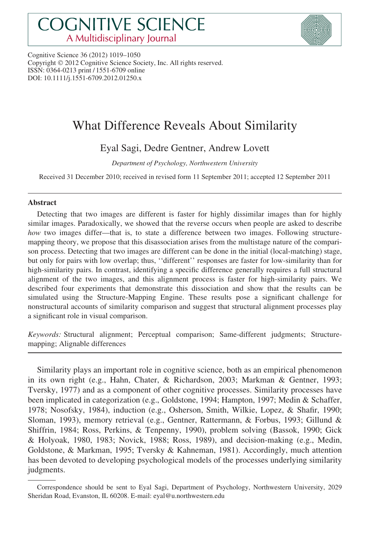# **COGNITIVE SCIENCE** A Multidisciplinary Journal



Cognitive Science 36 (2012) 1019–1050 Copyright © 2012 Cognitive Science Society, Inc. All rights reserved. ISSN: 0364-0213 print / 1551-6709 online DOI: 10.1111/j.1551-6709.2012.01250.x

## What Difference Reveals About Similarity

## Eyal Sagi, Dedre Gentner, Andrew Lovett

Department of Psychology, Northwestern University

Received 31 December 2010; received in revised form 11 September 2011; accepted 12 September 2011

#### Abstract

Detecting that two images are different is faster for highly dissimilar images than for highly similar images. Paradoxically, we showed that the reverse occurs when people are asked to describe how two images differ—that is, to state a difference between two images. Following structuremapping theory, we propose that this disassociation arises from the multistage nature of the comparison process. Detecting that two images are different can be done in the initial (local-matching) stage, but only for pairs with low overlap; thus, ''different'' responses are faster for low-similarity than for high-similarity pairs. In contrast, identifying a specific difference generally requires a full structural alignment of the two images, and this alignment process is faster for high-similarity pairs. We described four experiments that demonstrate this dissociation and show that the results can be simulated using the Structure-Mapping Engine. These results pose a significant challenge for nonstructural accounts of similarity comparison and suggest that structural alignment processes play a significant role in visual comparison.

Keywords: Structural alignment; Perceptual comparison; Same-different judgments; Structuremapping; Alignable differences

Similarity plays an important role in cognitive science, both as an empirical phenomenon in its own right (e.g., Hahn, Chater, & Richardson, 2003; Markman & Gentner, 1993; Tversky, 1977) and as a component of other cognitive processes. Similarity processes have been implicated in categorization (e.g., Goldstone, 1994; Hampton, 1997; Medin & Schaffer, 1978; Nosofsky, 1984), induction (e.g., Osherson, Smith, Wilkie, Lopez, & Shafir, 1990; Sloman, 1993), memory retrieval (e.g., Gentner, Rattermann, & Forbus, 1993; Gillund & Shiffrin, 1984; Ross, Perkins, & Tenpenny, 1990), problem solving (Bassok, 1990; Gick & Holyoak, 1980, 1983; Novick, 1988; Ross, 1989), and decision-making (e.g., Medin, Goldstone, & Markman, 1995; Tversky & Kahneman, 1981). Accordingly, much attention has been devoted to developing psychological models of the processes underlying similarity judgments.

Correspondence should be sent to Eyal Sagi, Department of Psychology, Northwestern University, 2029 Sheridan Road, Evanston, IL 60208. E-mail: eyal@u.northwestern.edu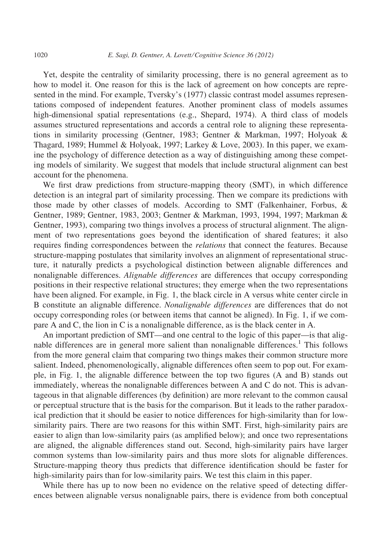Yet, despite the centrality of similarity processing, there is no general agreement as to how to model it. One reason for this is the lack of agreement on how concepts are represented in the mind. For example, Tversky's (1977) classic contrast model assumes representations composed of independent features. Another prominent class of models assumes high-dimensional spatial representations (e.g., Shepard, 1974). A third class of models assumes structured representations and accords a central role to aligning these representations in similarity processing (Gentner, 1983; Gentner & Markman, 1997; Holyoak & Thagard, 1989; Hummel & Holyoak, 1997; Larkey & Love, 2003). In this paper, we examine the psychology of difference detection as a way of distinguishing among these competing models of similarity. We suggest that models that include structural alignment can best account for the phenomena.

We first draw predictions from structure-mapping theory (SMT), in which difference detection is an integral part of similarity processing. Then we compare its predictions with those made by other classes of models. According to SMT (Falkenhainer, Forbus, & Gentner, 1989; Gentner, 1983, 2003; Gentner & Markman, 1993, 1994, 1997; Markman & Gentner, 1993), comparing two things involves a process of structural alignment. The alignment of two representations goes beyond the identification of shared features; it also requires finding correspondences between the relations that connect the features. Because structure-mapping postulates that similarity involves an alignment of representational structure, it naturally predicts a psychological distinction between alignable differences and nonalignable differences. Alignable differences are differences that occupy corresponding positions in their respective relational structures; they emerge when the two representations have been aligned. For example, in Fig. 1, the black circle in A versus white center circle in B constitute an alignable difference. Nonalignable differences are differences that do not occupy corresponding roles (or between items that cannot be aligned). In Fig. 1, if we compare A and C, the lion in C is a nonalignable difference, as is the black center in A.

An important prediction of SMT—and one central to the logic of this paper—is that alignable differences are in general more salient than nonalignable differences.<sup>1</sup> This follows from the more general claim that comparing two things makes their common structure more salient. Indeed, phenomenologically, alignable differences often seem to pop out. For example, in Fig. 1, the alignable difference between the top two figures (A and B) stands out immediately, whereas the nonalignable differences between A and C do not. This is advantageous in that alignable differences (by definition) are more relevant to the common causal or perceptual structure that is the basis for the comparison. But it leads to the rather paradoxical prediction that it should be easier to notice differences for high-similarity than for lowsimilarity pairs. There are two reasons for this within SMT. First, high-similarity pairs are easier to align than low-similarity pairs (as amplified below); and once two representations are aligned, the alignable differences stand out. Second, high-similarity pairs have larger common systems than low-similarity pairs and thus more slots for alignable differences. Structure-mapping theory thus predicts that difference identification should be faster for high-similarity pairs than for low-similarity pairs. We test this claim in this paper.

While there has up to now been no evidence on the relative speed of detecting differences between alignable versus nonalignable pairs, there is evidence from both conceptual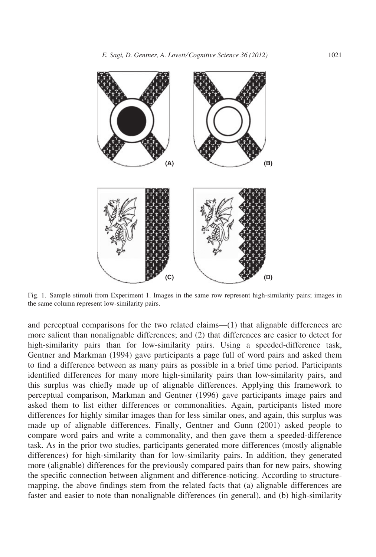

Fig. 1. Sample stimuli from Experiment 1. Images in the same row represent high-similarity pairs; images in the same column represent low-similarity pairs.

and perceptual comparisons for the two related claims—(1) that alignable differences are more salient than nonalignable differences; and (2) that differences are easier to detect for high-similarity pairs than for low-similarity pairs. Using a speeded-difference task, Gentner and Markman (1994) gave participants a page full of word pairs and asked them to find a difference between as many pairs as possible in a brief time period. Participants identified differences for many more high-similarity pairs than low-similarity pairs, and this surplus was chiefly made up of alignable differences. Applying this framework to perceptual comparison, Markman and Gentner (1996) gave participants image pairs and asked them to list either differences or commonalities. Again, participants listed more differences for highly similar images than for less similar ones, and again, this surplus was made up of alignable differences. Finally, Gentner and Gunn (2001) asked people to compare word pairs and write a commonality, and then gave them a speeded-difference task. As in the prior two studies, participants generated more differences (mostly alignable differences) for high-similarity than for low-similarity pairs. In addition, they generated more (alignable) differences for the previously compared pairs than for new pairs, showing the specific connection between alignment and difference-noticing. According to structuremapping, the above findings stem from the related facts that (a) alignable differences are faster and easier to note than nonalignable differences (in general), and (b) high-similarity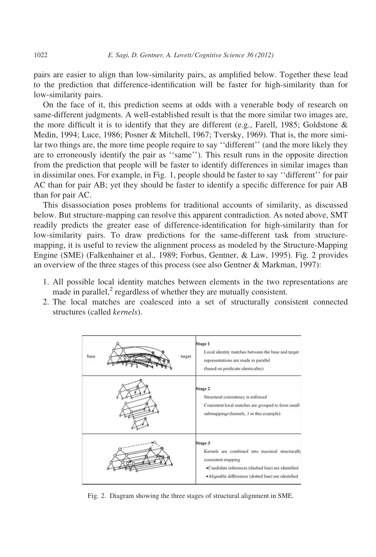pairs are easier to align than low-similarity pairs, as amplified below. Together these lead to the prediction that difference-identification will be faster for high-similarity than for low-similarity pairs.

On the face of it, this prediction seems at odds with a venerable body of research on same-different judgments. A well-established result is that the more similar two images are, the more difficult it is to identify that they are different (e.g., Farell, 1985; Goldstone  $\&$ Medin, 1994; Luce, 1986; Posner & Mitchell, 1967; Tversky, 1969). That is, the more similar two things are, the more time people require to say ''different'' (and the more likely they are to erroneously identify the pair as ''same''). This result runs in the opposite direction from the prediction that people will be faster to identify differences in similar images than in dissimilar ones. For example, in Fig. 1, people should be faster to say ''different'' for pair AC than for pair AB; yet they should be faster to identify a specific difference for pair AB than for pair AC.

This disassociation poses problems for traditional accounts of similarity, as discussed below. But structure-mapping can resolve this apparent contradiction. As noted above, SMT readily predicts the greater ease of difference-identification for high-similarity than for low-similarity pairs. To draw predictions for the same-different task from structuremapping, it is useful to review the alignment process as modeled by the Structure-Mapping Engine (SME) (Falkenhainer et al., 1989; Forbus, Gentner, & Law, 1995). Fig. 2 provides an overview of the three stages of this process (see also Gentner & Markman, 1997):

- 1. All possible local identity matches between elements in the two representations are made in parallel, $<sup>2</sup>$  regardless of whether they are mutually consistent.</sup>
- 2. The local matches are coalesced into a set of structurally consistent connected structures (called kernels).

| base<br>target | Stage 1<br>Local identity matches between the base and target<br>representations are made in parallel<br>(based on predicate identicality)                                                    |
|----------------|-----------------------------------------------------------------------------------------------------------------------------------------------------------------------------------------------|
|                | Stage 2:<br>Structural consistency is enforced<br>Consistent local matches are grouped to form small<br>submappings (kernels, 3 in this example)                                              |
|                | Stage 3:<br>Kernels are combined into maximal structurally<br>consistent mapping<br>·Candidate inferences (dashed line) are identified<br>·Alignable differences (dotted line) are identified |

Fig. 2. Diagram showing the three stages of structural alignment in SME.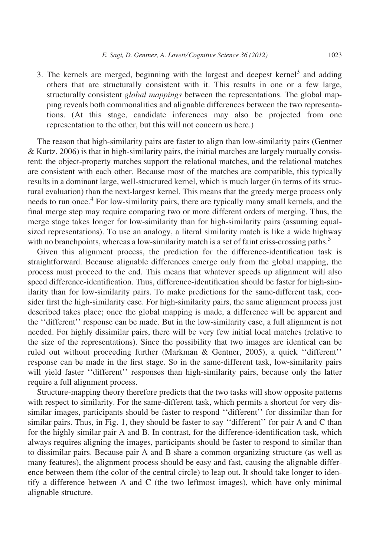3. The kernels are merged, beginning with the largest and deepest kernel<sup>3</sup> and adding others that are structurally consistent with it. This results in one or a few large, structurally consistent *global mappings* between the representations. The global mapping reveals both commonalities and alignable differences between the two representations. (At this stage, candidate inferences may also be projected from one representation to the other, but this will not concern us here.)

The reason that high-similarity pairs are faster to align than low-similarity pairs (Gentner & Kurtz, 2006) is that in high-similarity pairs, the initial matches are largely mutually consistent: the object-property matches support the relational matches, and the relational matches are consistent with each other. Because most of the matches are compatible, this typically results in a dominant large, well-structured kernel, which is much larger (in terms of its structural evaluation) than the next-largest kernel. This means that the greedy merge process only needs to run once.<sup>4</sup> For low-similarity pairs, there are typically many small kernels, and the final merge step may require comparing two or more different orders of merging. Thus, the merge stage takes longer for low-similarity than for high-similarity pairs (assuming equalsized representations). To use an analogy, a literal similarity match is like a wide highway with no branchpoints, whereas a low-similarity match is a set of faint criss-crossing paths.<sup>5</sup>

Given this alignment process, the prediction for the difference-identification task is straightforward. Because alignable differences emerge only from the global mapping, the process must proceed to the end. This means that whatever speeds up alignment will also speed difference-identification. Thus, difference-identification should be faster for high-similarity than for low-similarity pairs. To make predictions for the same-different task, consider first the high-similarity case. For high-similarity pairs, the same alignment process just described takes place; once the global mapping is made, a difference will be apparent and the ''different'' response can be made. But in the low-similarity case, a full alignment is not needed. For highly dissimilar pairs, there will be very few initial local matches (relative to the size of the representations). Since the possibility that two images are identical can be ruled out without proceeding further (Markman & Gentner, 2005), a quick ''different'' response can be made in the first stage. So in the same-different task, low-similarity pairs will yield faster "different" responses than high-similarity pairs, because only the latter require a full alignment process.

Structure-mapping theory therefore predicts that the two tasks will show opposite patterns with respect to similarity. For the same-different task, which permits a shortcut for very dissimilar images, participants should be faster to respond ''different'' for dissimilar than for similar pairs. Thus, in Fig. 1, they should be faster to say "different" for pair A and C than for the highly similar pair A and B. In contrast, for the difference-identification task, which always requires aligning the images, participants should be faster to respond to similar than to dissimilar pairs. Because pair A and B share a common organizing structure (as well as many features), the alignment process should be easy and fast, causing the alignable difference between them (the color of the central circle) to leap out. It should take longer to identify a difference between A and C (the two leftmost images), which have only minimal alignable structure.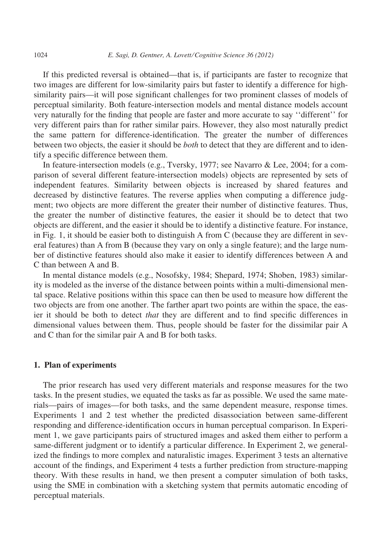If this predicted reversal is obtained—that is, if participants are faster to recognize that two images are different for low-similarity pairs but faster to identify a difference for highsimilarity pairs—it will pose significant challenges for two prominent classes of models of perceptual similarity. Both feature-intersection models and mental distance models account very naturally for the finding that people are faster and more accurate to say ''different'' for very different pairs than for rather similar pairs. However, they also most naturally predict the same pattern for difference-identification. The greater the number of differences between two objects, the easier it should be *both* to detect that they are different and to identify a specific difference between them.

In feature-intersection models (e.g., Tversky, 1977; see Navarro & Lee, 2004; for a comparison of several different feature-intersection models) objects are represented by sets of independent features. Similarity between objects is increased by shared features and decreased by distinctive features. The reverse applies when computing a difference judgment; two objects are more different the greater their number of distinctive features. Thus, the greater the number of distinctive features, the easier it should be to detect that two objects are different, and the easier it should be to identify a distinctive feature. For instance, in Fig. 1, it should be easier both to distinguish A from C (because they are different in several features) than A from B (because they vary on only a single feature); and the large number of distinctive features should also make it easier to identify differences between A and C than between A and B.

In mental distance models (e.g., Nosofsky, 1984; Shepard, 1974; Shoben, 1983) similarity is modeled as the inverse of the distance between points within a multi-dimensional mental space. Relative positions within this space can then be used to measure how different the two objects are from one another. The farther apart two points are within the space, the easier it should be both to detect that they are different and to find specific differences in dimensional values between them. Thus, people should be faster for the dissimilar pair A and C than for the similar pair A and B for both tasks.

#### 1. Plan of experiments

The prior research has used very different materials and response measures for the two tasks. In the present studies, we equated the tasks as far as possible. We used the same materials—pairs of images—for both tasks, and the same dependent measure, response times. Experiments 1 and 2 test whether the predicted disassociation between same-different responding and difference-identification occurs in human perceptual comparison. In Experiment 1, we gave participants pairs of structured images and asked them either to perform a same-different judgment or to identify a particular difference. In Experiment 2, we generalized the findings to more complex and naturalistic images. Experiment 3 tests an alternative account of the findings, and Experiment 4 tests a further prediction from structure-mapping theory. With these results in hand, we then present a computer simulation of both tasks, using the SME in combination with a sketching system that permits automatic encoding of perceptual materials.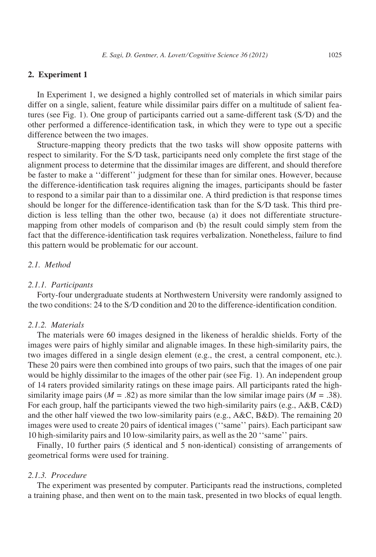#### 2. Experiment 1

In Experiment 1, we designed a highly controlled set of materials in which similar pairs differ on a single, salient, feature while dissimilar pairs differ on a multitude of salient features (see Fig. 1). One group of participants carried out a same-different task (S⁄D) and the other performed a difference-identification task, in which they were to type out a specific difference between the two images.

Structure-mapping theory predicts that the two tasks will show opposite patterns with respect to similarity. For the S⁄D task, participants need only complete the first stage of the alignment process to determine that the dissimilar images are different, and should therefore be faster to make a ''different'' judgment for these than for similar ones. However, because the difference-identification task requires aligning the images, participants should be faster to respond to a similar pair than to a dissimilar one. A third prediction is that response times should be longer for the difference-identification task than for the S⁄D task. This third prediction is less telling than the other two, because (a) it does not differentiate structuremapping from other models of comparison and (b) the result could simply stem from the fact that the difference-identification task requires verbalization. Nonetheless, failure to find this pattern would be problematic for our account.

## 2.1. Method

#### 2.1.1. Participants

Forty-four undergraduate students at Northwestern University were randomly assigned to the two conditions: 24 to the S⁄D condition and 20 to the difference-identification condition.

#### 2.1.2. Materials

The materials were 60 images designed in the likeness of heraldic shields. Forty of the images were pairs of highly similar and alignable images. In these high-similarity pairs, the two images differed in a single design element (e.g., the crest, a central component, etc.). These 20 pairs were then combined into groups of two pairs, such that the images of one pair would be highly dissimilar to the images of the other pair (see Fig. 1). An independent group of 14 raters provided similarity ratings on these image pairs. All participants rated the highsimilarity image pairs ( $M = .82$ ) as more similar than the low similar image pairs ( $M = .38$ ). For each group, half the participants viewed the two high-similarity pairs (e.g., A&B, C&D) and the other half viewed the two low-similarity pairs (e.g., A&C, B&D). The remaining 20 images were used to create 20 pairs of identical images (''same'' pairs). Each participant saw 10 high-similarity pairs and 10 low-similarity pairs, as well as the 20 ''same'' pairs.

Finally, 10 further pairs (5 identical and 5 non-identical) consisting of arrangements of geometrical forms were used for training.

#### 2.1.3. Procedure

The experiment was presented by computer. Participants read the instructions, completed a training phase, and then went on to the main task, presented in two blocks of equal length.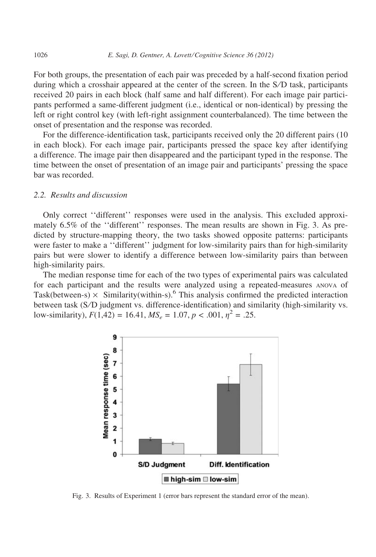For both groups, the presentation of each pair was preceded by a half-second fixation period during which a crosshair appeared at the center of the screen. In the S⁄D task, participants received 20 pairs in each block (half same and half different). For each image pair participants performed a same-different judgment (i.e., identical or non-identical) by pressing the left or right control key (with left-right assignment counterbalanced). The time between the onset of presentation and the response was recorded.

For the difference-identification task, participants received only the 20 different pairs (10 in each block). For each image pair, participants pressed the space key after identifying a difference. The image pair then disappeared and the participant typed in the response. The time between the onset of presentation of an image pair and participants' pressing the space bar was recorded.

#### 2.2. Results and discussion

Only correct ''different'' responses were used in the analysis. This excluded approximately 6.5% of the "different" responses. The mean results are shown in Fig. 3. As predicted by structure-mapping theory, the two tasks showed opposite patterns: participants were faster to make a ''different'' judgment for low-similarity pairs than for high-similarity pairs but were slower to identify a difference between low-similarity pairs than between high-similarity pairs.

The median response time for each of the two types of experimental pairs was calculated for each participant and the results were analyzed using a repeated-measures anova of Task(between-s)  $\times$  Similarity(within-s).<sup>6</sup> This analysis confirmed the predicted interaction between task (S⁄D judgment vs. difference-identification) and similarity (high-similarity vs. low-similarity),  $F(1,42) = 16.41$ ,  $MS_e = 1.07$ ,  $p < .001$ ,  $\eta^2 = .25$ .



Fig. 3. Results of Experiment 1 (error bars represent the standard error of the mean).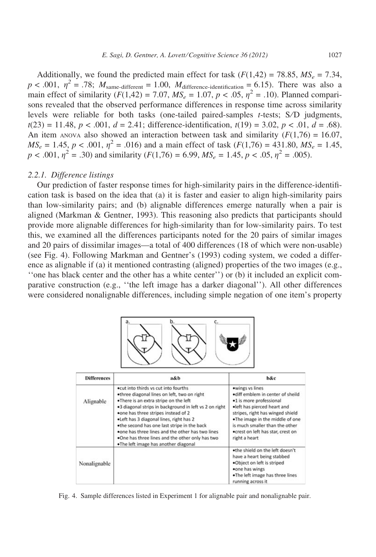Additionally, we found the predicted main effect for task  $(F(1,42) = 78.85, MS_e = 7.34,$  $p < .001$ ,  $\eta^2 = .78$ ;  $M_{\text{same-different}} = 1.00$ ,  $M_{\text{difference-dentification}} = 6.15$ ). There was also a main effect of similarity ( $F(1,42) = 7.07$ ,  $MS_e = 1.07$ ,  $p < .05$ ,  $\eta^2 = .10$ ). Planned comparisons revealed that the observed performance differences in response time across similarity levels were reliable for both tasks (one-tailed paired-samples t-tests; S⁄D judgments,  $t(23) = 11.48, p < .001, d = 2.41$ ; difference-identification,  $t(19) = 3.02, p < .01, d = .68$ ). An item anova also showed an interaction between task and similarity  $(F(1,76) = 16.07,$  $MS_e = 1.45$ ,  $p < .001$ ,  $\eta^2 = .016$ ) and a main effect of task ( $F(1,76) = 431.80$ ,  $MS_e = 1.45$ ,  $p < .001$ ,  $\eta^2 = .30$ ) and similarity ( $F(1,76) = 6.99$ ,  $MS_e = 1.45$ ,  $p < .05$ ,  $\eta^2 = .005$ ).

#### 2.2.1. Difference listings

Our prediction of faster response times for high-similarity pairs in the difference-identification task is based on the idea that (a) it is faster and easier to align high-similarity pairs than low-similarity pairs; and (b) alignable differences emerge naturally when a pair is aligned (Markman & Gentner, 1993). This reasoning also predicts that participants should provide more alignable differences for high-similarity than for low-similarity pairs. To test this, we examined all the differences participants noted for the 20 pairs of similar images and 20 pairs of dissimilar images—a total of 400 differences (18 of which were non-usable) (see Fig. 4). Following Markman and Gentner's (1993) coding system, we coded a difference as alignable if (a) it mentioned contrasting (aligned) properties of the two images (e.g., ''one has black center and the other has a white center'') or (b) it included an explicit comparative construction (e.g., ''the left image has a darker diagonal''). All other differences were considered nonalignable differences, including simple negation of one item's property



| <b>Differences</b> | a&b                                                                                                                                                                                                                                                                                                                                                                                                                                                                     | h&c.                                                                                                                                                                                                                                                                          |
|--------------------|-------------------------------------------------------------------------------------------------------------------------------------------------------------------------------------------------------------------------------------------------------------------------------------------------------------------------------------------------------------------------------------------------------------------------------------------------------------------------|-------------------------------------------------------------------------------------------------------------------------------------------------------------------------------------------------------------------------------------------------------------------------------|
| Alignable          | .cut into thirds ys cut into fourths<br>.three diagonal lines on left, two on right<br>.There is an extra stripe on the left<br>.3 diagonal strips in background in left vs 2 on right<br>.one has three stripes instead of 2<br>. Left has 3 diagonal lines, right has 2<br>.the second has one last stripe in the back<br>.one has three lines and the other has two lines<br>.One has three lines and the other only has two<br>.The left image has another diagonal | ·wings vs lines<br>·diff emblem in center of sheild<br>.1 is more professional<br>. left has pierced heart and<br>stripes, right has winged shield<br>.The image in the middle of one<br>is much smaller than the other<br>.crest on left has star, crest on<br>right a heart |
| Nonalignable       |                                                                                                                                                                                                                                                                                                                                                                                                                                                                         | .the shield on the left doesn't<br>have a heart being stabbed<br>.Object on left is striped<br>•one has wings<br>.The left image has three lines<br>running across it                                                                                                         |

Fig. 4. Sample differences listed in Experiment 1 for alignable pair and nonalignable pair.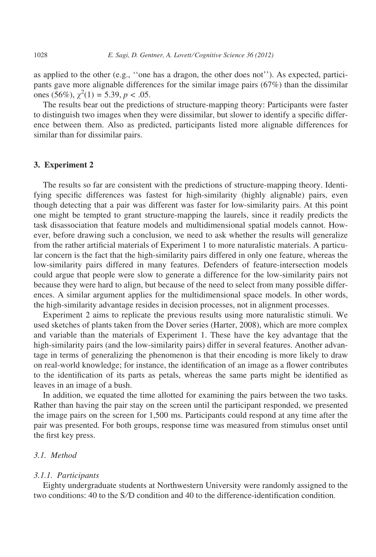as applied to the other (e.g., ''one has a dragon, the other does not''). As expected, participants gave more alignable differences for the similar image pairs (67%) than the dissimilar ones (56%),  $\chi^2(1) = 5.39, p < .05$ .

The results bear out the predictions of structure-mapping theory: Participants were faster to distinguish two images when they were dissimilar, but slower to identify a specific difference between them. Also as predicted, participants listed more alignable differences for similar than for dissimilar pairs.

#### 3. Experiment 2

The results so far are consistent with the predictions of structure-mapping theory. Identifying specific differences was fastest for high-similarity (highly alignable) pairs, even though detecting that a pair was different was faster for low-similarity pairs. At this point one might be tempted to grant structure-mapping the laurels, since it readily predicts the task disassociation that feature models and multidimensional spatial models cannot. However, before drawing such a conclusion, we need to ask whether the results will generalize from the rather artificial materials of Experiment 1 to more naturalistic materials. A particular concern is the fact that the high-similarity pairs differed in only one feature, whereas the low-similarity pairs differed in many features. Defenders of feature-intersection models could argue that people were slow to generate a difference for the low-similarity pairs not because they were hard to align, but because of the need to select from many possible differences. A similar argument applies for the multidimensional space models. In other words, the high-similarity advantage resides in decision processes, not in alignment processes.

Experiment 2 aims to replicate the previous results using more naturalistic stimuli. We used sketches of plants taken from the Dover series (Harter, 2008), which are more complex and variable than the materials of Experiment 1. These have the key advantage that the high-similarity pairs (and the low-similarity pairs) differ in several features. Another advantage in terms of generalizing the phenomenon is that their encoding is more likely to draw on real-world knowledge; for instance, the identification of an image as a flower contributes to the identification of its parts as petals, whereas the same parts might be identified as leaves in an image of a bush.

In addition, we equated the time allotted for examining the pairs between the two tasks. Rather than having the pair stay on the screen until the participant responded, we presented the image pairs on the screen for 1,500 ms. Participants could respond at any time after the pair was presented. For both groups, response time was measured from stimulus onset until the first key press.

#### 3.1. Method

#### 3.1.1. Participants

Eighty undergraduate students at Northwestern University were randomly assigned to the two conditions: 40 to the S⁄D condition and 40 to the difference-identification condition.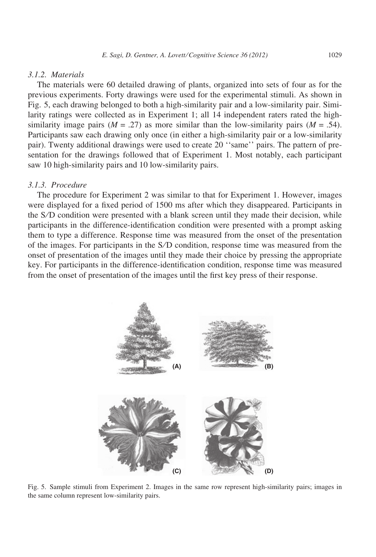#### 3.1.2. Materials

The materials were 60 detailed drawing of plants, organized into sets of four as for the previous experiments. Forty drawings were used for the experimental stimuli. As shown in Fig. 5, each drawing belonged to both a high-similarity pair and a low-similarity pair. Similarity ratings were collected as in Experiment 1; all 14 independent raters rated the highsimilarity image pairs ( $M = .27$ ) as more similar than the low-similarity pairs ( $M = .54$ ). Participants saw each drawing only once (in either a high-similarity pair or a low-similarity pair). Twenty additional drawings were used to create 20 ''same'' pairs. The pattern of presentation for the drawings followed that of Experiment 1. Most notably, each participant saw 10 high-similarity pairs and 10 low-similarity pairs.

## 3.1.3. Procedure

The procedure for Experiment 2 was similar to that for Experiment 1. However, images were displayed for a fixed period of 1500 ms after which they disappeared. Participants in the S⁄D condition were presented with a blank screen until they made their decision, while participants in the difference-identification condition were presented with a prompt asking them to type a difference. Response time was measured from the onset of the presentation of the images. For participants in the S⁄D condition, response time was measured from the onset of presentation of the images until they made their choice by pressing the appropriate key. For participants in the difference-identification condition, response time was measured from the onset of presentation of the images until the first key press of their response.



Fig. 5. Sample stimuli from Experiment 2. Images in the same row represent high-similarity pairs; images in the same column represent low-similarity pairs.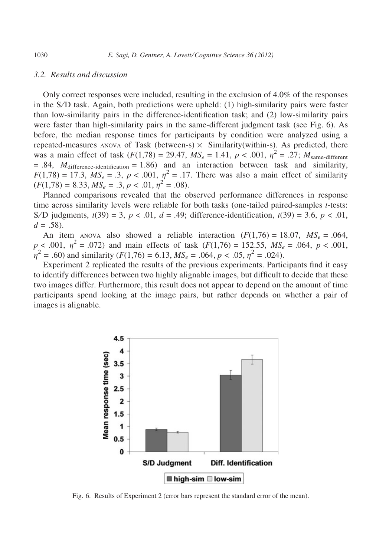#### 3.2. Results and discussion

Only correct responses were included, resulting in the exclusion of 4.0% of the responses in the S⁄D task. Again, both predictions were upheld: (1) high-similarity pairs were faster than low-similarity pairs in the difference-identification task; and (2) low-similarity pairs were faster than high-similarity pairs in the same-different judgment task (see Fig. 6). As before, the median response times for participants by condition were analyzed using a repeated-measures anova of Task (between-s)  $\times$  Similarity(within-s). As predicted, there was a main effect of task  $(F(1,78) = 29.47, MS_e = 1.41, p < .001, \eta^2 = .27; M_{\text{same-different}}$  $= .84$ ,  $M<sub>difference-identification</sub> = 1.86$  and an interaction between task and similarity,  $F(1,78) = 17.3$ ,  $MS_e = .3$ ,  $p < .001$ ,  $\eta^2 = .17$ . There was also a main effect of similarity  $(F(1,78) = 8.33, MS_e = .3, p < .01, \eta^2 = .08).$ 

Planned comparisons revealed that the observed performance differences in response time across similarity levels were reliable for both tasks (one-tailed paired-samples t-tests: S/D judgments,  $t(39) = 3$ ,  $p < .01$ ,  $d = .49$ ; difference-identification,  $t(39) = 3.6$ ,  $p < .01$ ,  $d = .58$ ).

An item anova also showed a reliable interaction  $(F(1,76) = 18.07, MS_e = .064,$  $p < .001$ ,  $\eta^2 = .072$ ) and main effects of task  $(F(1,76) = 152.55, MS_e = .064, p < .001,$  $\eta^2$  = .60) and similarity (F(1,76) = 6.13, MS<sub>e</sub> = .064, p < .05,  $\eta^2$  = .024).

Experiment 2 replicated the results of the previous experiments. Participants find it easy to identify differences between two highly alignable images, but difficult to decide that these two images differ. Furthermore, this result does not appear to depend on the amount of time participants spend looking at the image pairs, but rather depends on whether a pair of images is alignable.



Fig. 6. Results of Experiment 2 (error bars represent the standard error of the mean).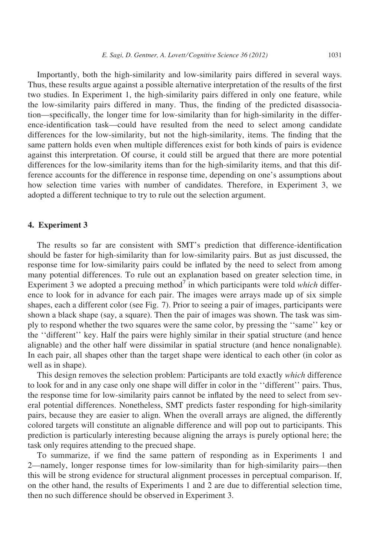Importantly, both the high-similarity and low-similarity pairs differed in several ways. Thus, these results argue against a possible alternative interpretation of the results of the first two studies. In Experiment 1, the high-similarity pairs differed in only one feature, while the low-similarity pairs differed in many. Thus, the finding of the predicted disassociation—specifically, the longer time for low-similarity than for high-similarity in the difference-identification task—could have resulted from the need to select among candidate differences for the low-similarity, but not the high-similarity, items. The finding that the same pattern holds even when multiple differences exist for both kinds of pairs is evidence against this interpretation. Of course, it could still be argued that there are more potential differences for the low-similarity items than for the high-similarity items, and that this difference accounts for the difference in response time, depending on one's assumptions about how selection time varies with number of candidates. Therefore, in Experiment 3, we adopted a different technique to try to rule out the selection argument.

## 4. Experiment 3

The results so far are consistent with SMT's prediction that difference-identification should be faster for high-similarity than for low-similarity pairs. But as just discussed, the response time for low-similarity pairs could be inflated by the need to select from among many potential differences. To rule out an explanation based on greater selection time, in Experiment 3 we adopted a precuing method<sup>7</sup> in which participants were told *which* difference to look for in advance for each pair. The images were arrays made up of six simple shapes, each a different color (see Fig. 7). Prior to seeing a pair of images, participants were shown a black shape (say, a square). Then the pair of images was shown. The task was simply to respond whether the two squares were the same color, by pressing the ''same'' key or the ''different'' key. Half the pairs were highly similar in their spatial structure (and hence alignable) and the other half were dissimilar in spatial structure (and hence nonalignable). In each pair, all shapes other than the target shape were identical to each other (in color as well as in shape).

This design removes the selection problem: Participants are told exactly which difference to look for and in any case only one shape will differ in color in the ''different'' pairs. Thus, the response time for low-similarity pairs cannot be inflated by the need to select from several potential differences. Nonetheless, SMT predicts faster responding for high-similarity pairs, because they are easier to align. When the overall arrays are aligned, the differently colored targets will constitute an alignable difference and will pop out to participants. This prediction is particularly interesting because aligning the arrays is purely optional here; the task only requires attending to the precued shape.

To summarize, if we find the same pattern of responding as in Experiments 1 and 2—namely, longer response times for low-similarity than for high-similarity pairs—then this will be strong evidence for structural alignment processes in perceptual comparison. If, on the other hand, the results of Experiments 1 and 2 are due to differential selection time, then no such difference should be observed in Experiment 3.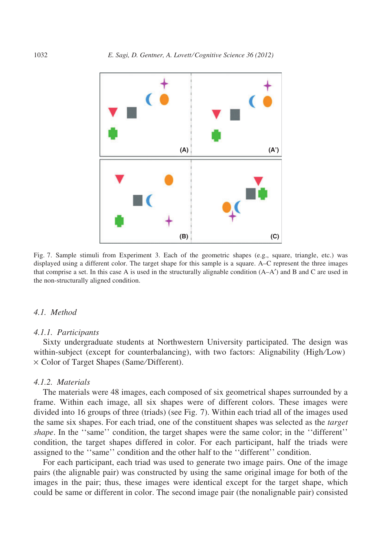

Fig. 7. Sample stimuli from Experiment 3. Each of the geometric shapes (e.g., square, triangle, etc.) was displayed using a different color. The target shape for this sample is a square. A–C represent the three images that comprise a set. In this case A is used in the structurally alignable condition  $(A-A')$  and B and C are used in the non-structurally aligned condition.

### 4.1. Method

#### 4.1.1. Participants

Sixty undergraduate students at Northwestern University participated. The design was within-subject (except for counterbalancing), with two factors: Alignability (High/Low) · Color of Target Shapes (Same ⁄Different).

#### 4.1.2. Materials

The materials were 48 images, each composed of six geometrical shapes surrounded by a frame. Within each image, all six shapes were of different colors. These images were divided into 16 groups of three (triads) (see Fig. 7). Within each triad all of the images used the same six shapes. For each triad, one of the constituent shapes was selected as the *target* shape. In the "same" condition, the target shapes were the same color; in the "different" condition, the target shapes differed in color. For each participant, half the triads were assigned to the ''same'' condition and the other half to the ''different'' condition.

For each participant, each triad was used to generate two image pairs. One of the image pairs (the alignable pair) was constructed by using the same original image for both of the images in the pair; thus, these images were identical except for the target shape, which could be same or different in color. The second image pair (the nonalignable pair) consisted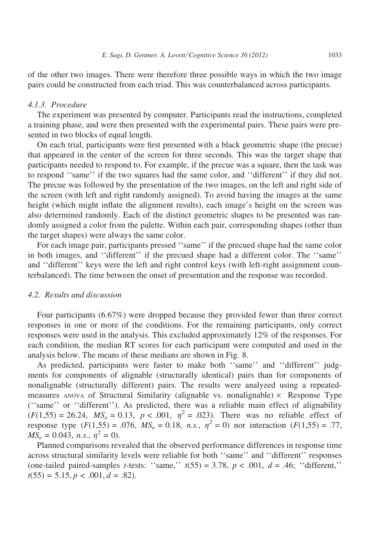of the other two images. There were therefore three possible ways in which the two image pairs could be constructed from each triad. This was counterbalanced across participants.

#### 4.1.3. Procedure

The experiment was presented by computer. Participants read the instructions, completed a training phase, and were then presented with the experimental pairs. These pairs were presented in two blocks of equal length.

On each trial, participants were first presented with a black geometric shape (the precue) that appeared in the center of the screen for three seconds. This was the target shape that participants needed to respond to. For example, if the precue was a square, then the task was to respond ''same'' if the two squares had the same color, and ''different'' if they did not. The precue was followed by the presentation of the two images, on the left and right side of the screen (with left and right randomly assigned). To avoid having the images at the same height (which might inflate the alignment results), each image's height on the screen was also determined randomly. Each of the distinct geometric shapes to be presented was randomly assigned a color from the palette. Within each pair, corresponding shapes (other than the target shapes) were always the same color.

For each image pair, participants pressed ''same'' if the precued shape had the same color in both images, and ''different'' if the precued shape had a different color. The ''same'' and ''different'' keys were the left and right control keys (with left-right assignment counterbalanced). The time between the onset of presentation and the response was recorded.

#### 4.2. Results and discussion

Four participants (6.67%) were dropped because they provided fewer than three correct responses in one or more of the conditions. For the remaining participants, only correct responses were used in the analysis. This excluded approximately 12% of the responses. For each condition, the median RT scores for each participant were computed and used in the analysis below. The means of these medians are shown in Fig. 8.

As predicted, participants were faster to make both ''same'' and ''different'' judgments for components of alignable (structurally identical) pairs than for components of nonalignable (structurally different) pairs. The results were analyzed using a repeatedmeasures anova of Structural Similarity (alignable vs. nonalignable)  $\times$  Response Type (''same'' or ''different''). As predicted, there was a reliable main effect of alignability  $(F(1,55) = 26.24, MS_e = 0.13, p < .001, \eta^2 = .023)$ . There was no reliable effect of response type  $(F(1,55) = .076, MS_e = 0.18, n.s., \eta^2 = 0)$  nor interaction  $(F(1,55) = .77,$  $MS_e = 0.043$ , n.s.,  $\eta^2 = 0$ ).

Planned comparisons revealed that the observed performance differences in response time across structural similarity levels were reliable for both ''same'' and ''different'' responses (one-tailed paired-samples *t*-tests: "same,"  $t(55) = 3.78$ ,  $p < .001$ ,  $d = .46$ ; "different,"  $t(55) = 5.15, p < .001, d = .82$ .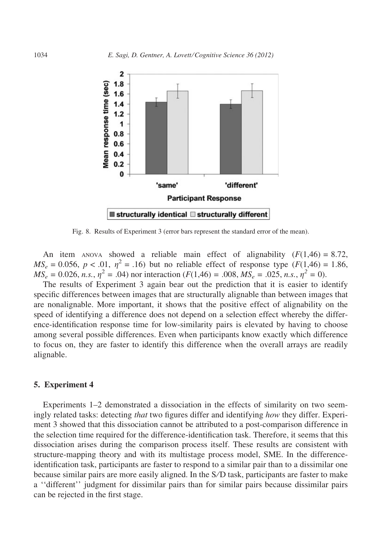

Fig. 8. Results of Experiment 3 (error bars represent the standard error of the mean).

An item anova showed a reliable main effect of alignability  $(F(1,46) = 8.72)$ ,  $MS_e = 0.056$ ,  $p < .01$ ,  $\eta^2 = .16$ ) but no reliable effect of response type ( $F(1,46) = 1.86$ )  $MS_e = 0.026$ , n.s.,  $\eta^2 = .04$ ) nor interaction ( $F(1,46) = .008$ ,  $\overline{MS_e} = .025$ , n.s.,  $\eta^2 = 0$ ).

The results of Experiment 3 again bear out the prediction that it is easier to identify specific differences between images that are structurally alignable than between images that are nonalignable. More important, it shows that the positive effect of alignability on the speed of identifying a difference does not depend on a selection effect whereby the difference-identification response time for low-similarity pairs is elevated by having to choose among several possible differences. Even when participants know exactly which difference to focus on, they are faster to identify this difference when the overall arrays are readily alignable.

#### 5. Experiment 4

Experiments 1–2 demonstrated a dissociation in the effects of similarity on two seemingly related tasks: detecting that two figures differ and identifying how they differ. Experiment 3 showed that this dissociation cannot be attributed to a post-comparison difference in the selection time required for the difference-identification task. Therefore, it seems that this dissociation arises during the comparison process itself. These results are consistent with structure-mapping theory and with its multistage process model, SME. In the differenceidentification task, participants are faster to respond to a similar pair than to a dissimilar one because similar pairs are more easily aligned. In the S⁄D task, participants are faster to make a ''different'' judgment for dissimilar pairs than for similar pairs because dissimilar pairs can be rejected in the first stage.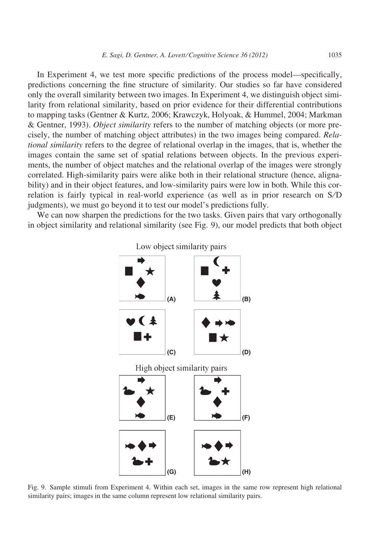In Experiment 4, we test more specific predictions of the process model—specifically, predictions concerning the fine structure of similarity. Our studies so far have considered only the overall similarity between two images. In Experiment 4, we distinguish object similarity from relational similarity, based on prior evidence for their differential contributions to mapping tasks (Gentner & Kurtz, 2006; Krawczyk, Holyoak, & Hummel, 2004; Markman & Gentner, 1993). Object similarity refers to the number of matching objects (or more precisely, the number of matching object attributes) in the two images being compared. Relational similarity refers to the degree of relational overlap in the images, that is, whether the images contain the same set of spatial relations between objects. In the previous experiments, the number of object matches and the relational overlap of the images were strongly correlated. High-similarity pairs were alike both in their relational structure (hence, alignability) and in their object features, and low-similarity pairs were low in both. While this correlation is fairly typical in real-world experience (as well as in prior research on S⁄D judgments), we must go beyond it to test our model's predictions fully.

We can now sharpen the predictions for the two tasks. Given pairs that vary orthogonally in object similarity and relational similarity (see Fig. 9), our model predicts that both object



Low object similarity pairs

Fig. 9. Sample stimuli from Experiment 4. Within each set, images in the same row represent high relational similarity pairs; images in the same column represent low relational similarity pairs.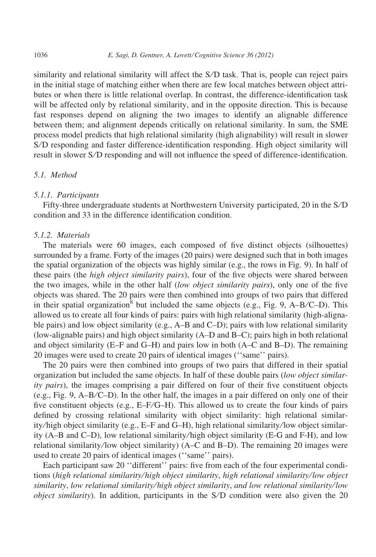similarity and relational similarity will affect the S⁄D task. That is, people can reject pairs in the initial stage of matching either when there are few local matches between object attributes or when there is little relational overlap. In contrast, the difference-identification task will be affected only by relational similarity, and in the opposite direction. This is because fast responses depend on aligning the two images to identify an alignable difference between them; and alignment depends critically on relational similarity. In sum, the SME process model predicts that high relational similarity (high alignability) will result in slower S⁄D responding and faster difference-identification responding. High object similarity will result in slower S⁄D responding and will not influence the speed of difference-identification.

#### 5.1. Method

#### 5.1.1. Participants

Fifty-three undergraduate students at Northwestern University participated, 20 in the S⁄D condition and 33 in the difference identification condition.

#### 5.1.2. Materials

The materials were 60 images, each composed of five distinct objects (silhouettes) surrounded by a frame. Forty of the images (20 pairs) were designed such that in both images the spatial organization of the objects was highly similar (e.g., the rows in Fig. 9). In half of these pairs (the *high object similarity pairs*), four of the five objects were shared between the two images, while in the other half (low object similarity pairs), only one of the five objects was shared. The 20 pairs were then combined into groups of two pairs that differed in their spatial organization<sup>8</sup> but included the same objects (e.g., Fig. 9, A–B/C–D). This allowed us to create all four kinds of pairs: pairs with high relational similarity (high-alignable pairs) and low object similarity (e.g., A–B and C–D); pairs with low relational similarity (low-alignable pairs) and high object similarity (A–D and B–C); pairs high in both relational and object similarity (E–F and G–H) and pairs low in both (A–C and B–D). The remaining 20 images were used to create 20 pairs of identical images (''same'' pairs).

The 20 pairs were then combined into groups of two pairs that differed in their spatial organization but included the same objects. In half of these double pairs (low object similarity pairs), the images comprising a pair differed on four of their five constituent objects (e.g., Fig. 9, A–B⁄C–D). In the other half, the images in a pair differed on only one of their five constituent objects (e.g., E–F⁄G–H). This allowed us to create the four kinds of pairs defined by crossing relational similarity with object similarity: high relational similarity ⁄ high object similarity (e.g., E–F and G–H), high relational similarity ⁄low object similarity (A–B and C–D), low relational similarity ⁄ high object similarity (E-G and F-H), and low relational similarity/low object similarity)  $(A-C \text{ and } B-D)$ . The remaining 20 images were used to create 20 pairs of identical images (''same'' pairs).

Each participant saw 20 "different" pairs: five from each of the four experimental conditions (high relational similarity ⁄ high object similarity, high relational similarity ⁄low object similarity, low relational similarity/high object similarity, and low relational similarity/low object similarity). In addition, participants in the S⁄D condition were also given the 20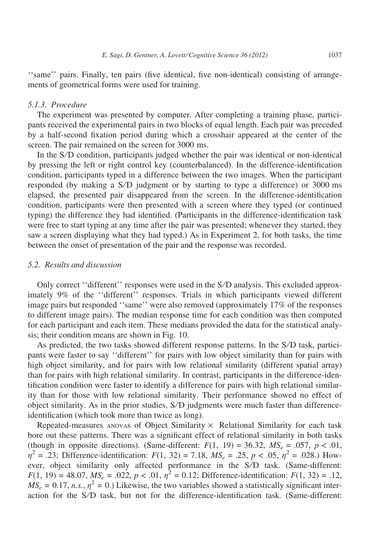''same'' pairs. Finally, ten pairs (five identical, five non-identical) consisting of arrangements of geometrical forms were used for training.

#### 5.1.3. Procedure

The experiment was presented by computer. After completing a training phase, participants received the experimental pairs in two blocks of equal length. Each pair was preceded by a half-second fixation period during which a crosshair appeared at the center of the screen. The pair remained on the screen for 3000 ms.

In the S⁄D condition, participants judged whether the pair was identical or non-identical by pressing the left or right control key (counterbalanced). In the difference-identification condition, participants typed in a difference between the two images. When the participant responded (by making a S⁄D judgment or by starting to type a difference) or 3000 ms elapsed, the presented pair disappeared from the screen. In the difference-identification condition, participants were then presented with a screen where they typed (or continued typing) the difference they had identified. (Participants in the difference-identification task were free to start typing at any time after the pair was presented; whenever they started, they saw a screen displaying what they had typed.) As in Experiment 2, for both tasks, the time between the onset of presentation of the pair and the response was recorded.

#### 5.2. Results and discussion

Only correct ''different'' responses were used in the S⁄D analysis. This excluded approximately 9% of the ''different'' responses. Trials in which participants viewed different image pairs but responded ''same'' were also removed (approximately 17% of the responses to different image pairs). The median response time for each condition was then computed for each participant and each item. These medians provided the data for the statistical analysis; their condition means are shown in Fig. 10.

As predicted, the two tasks showed different response patterns. In the S⁄D task, participants were faster to say ''different'' for pairs with low object similarity than for pairs with high object similarity, and for pairs with low relational similarity (different spatial array) than for pairs with high relational similarity. In contrast, participants in the difference-identification condition were faster to identify a difference for pairs with high relational similarity than for those with low relational similarity. Their performance showed no effect of object similarity. As in the prior studies, S⁄D judgments were much faster than differenceidentification (which took more than twice as long).

Repeated-measures anovas of Object Similarity  $\times$  Relational Similarity for each task bore out these patterns. There was a significant effect of relational similarity in both tasks (though in opposite directions). (Same-different:  $F(1, 19) = 36.32$ ,  $MS_e = .057$ ,  $p < .01$ ,  $\eta^2 = .23$ ; Difference-identification:  $F(1, 32) = 7.18$ ,  $MS_e = .25$ ,  $p < .05$ ,  $\eta^2 = .028$ .) However, object similarity only affected performance in the S⁄D task. (Same-different:  $F(1, 19) = 48.07, MS_e = .022, p < .01, \eta^2 = 0.12$ ; Difference-identification:  $F(1, 32) = .12$ ,  $MS_e = 0.17$ , n.s.,  $\eta^2 = 0$ .) Likewise, the two variables showed a statistically significant interaction for the S⁄D task, but not for the difference-identification task. (Same-different: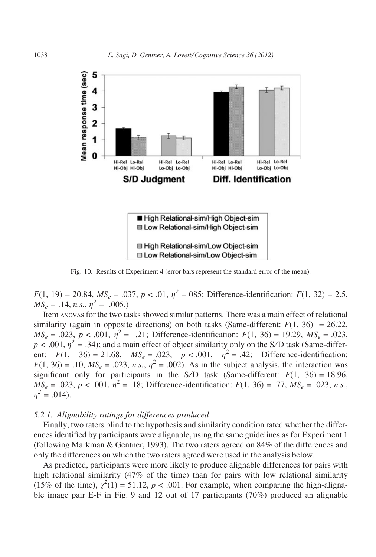



Fig. 10. Results of Experiment 4 (error bars represent the standard error of the mean).

 $F(1, 19) = 20.84$ ,  $MS_e = .037$ ,  $p < .01$ ,  $\eta^2 = 085$ ; Difference-identification:  $F(1, 32) = 2.5$ ,  $MS_e = .14$ , n.s.,  $\eta^2 = .005$ .)

Item anovas for the two tasks showed similar patterns. There was a main effect of relational similarity (again in opposite directions) on both tasks (Same-different:  $F(1, 36) = 26.22$ ,  $MS_e = .023$ ,  $p < .001$ ,  $\eta^2 = .21$ ; Difference-identification:  $F(1, 36) = 19.29$ ,  $MS_e = .023$ ,  $p < .001$ ,  $\eta^2 = .34$ ); and a main effect of object similarity only on the S/D task (Same-different:  $F(1, 36) = 21.68$ ,  $MS_e = .023$ ,  $p < .001$ ,  $n^2 = .42$ ; Difference-identification:  $F(1, 36) = .10$ ,  $MS_e = .023$ , n.s.,  $\eta^2 = .002$ ). As in the subject analysis, the interaction was significant only for participants in the S/D task (Same-different:  $F(1, 36) = 18.96$ ,  $\overline{MS}_e = .023$ ,  $p < .001$ ,  $\eta^2 = .18$ ; Difference-identification:  $F(1, 36) = .77$ ,  $\overline{MS}_e = .023$ , n.s.,  $n^2 = .014$ ).

#### 5.2.1. Alignability ratings for differences produced

Finally, two raters blind to the hypothesis and similarity condition rated whether the differences identified by participants were alignable, using the same guidelines as for Experiment 1 (following Markman & Gentner, 1993). The two raters agreed on 84% of the differences and only the differences on which the two raters agreed were used in the analysis below.

As predicted, participants were more likely to produce alignable differences for pairs with high relational similarity (47% of the time) than for pairs with low relational similarity (15% of the time),  $\chi^2(1) = 51.12$ ,  $p < .001$ . For example, when comparing the high-alignable image pair E-F in Fig. 9 and 12 out of 17 participants (70%) produced an alignable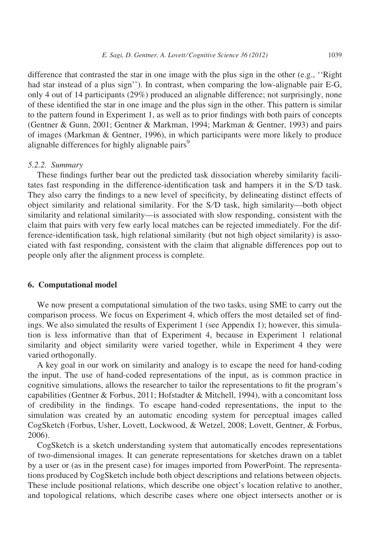difference that contrasted the star in one image with the plus sign in the other (e.g., ''Right had star instead of a plus sign''). In contrast, when comparing the low-alignable pair E-G, only 4 out of 14 participants (29%) produced an alignable difference; not surprisingly, none of these identified the star in one image and the plus sign in the other. This pattern is similar to the pattern found in Experiment 1, as well as to prior findings with both pairs of concepts (Gentner & Gunn, 2001; Gentner & Markman, 1994; Markman & Gentner, 1993) and pairs of images (Markman & Gentner, 1996), in which participants were more likely to produce alignable differences for highly alignable pairs<sup>9</sup>

#### 5.2.2. Summary

These findings further bear out the predicted task dissociation whereby similarity facilitates fast responding in the difference-identification task and hampers it in the S⁄D task. They also carry the findings to a new level of specificity, by delineating distinct effects of object similarity and relational similarity. For the S⁄D task, high similarity—both object similarity and relational similarity—is associated with slow responding, consistent with the claim that pairs with very few early local matches can be rejected immediately. For the difference-identification task, high relational similarity (but not high object similarity) is associated with fast responding, consistent with the claim that alignable differences pop out to people only after the alignment process is complete.

#### 6. Computational model

We now present a computational simulation of the two tasks, using SME to carry out the comparison process. We focus on Experiment 4, which offers the most detailed set of findings. We also simulated the results of Experiment 1 (see Appendix 1); however, this simulation is less informative than that of Experiment 4, because in Experiment 1 relational similarity and object similarity were varied together, while in Experiment 4 they were varied orthogonally.

A key goal in our work on similarity and analogy is to escape the need for hand-coding the input. The use of hand-coded representations of the input, as is common practice in cognitive simulations, allows the researcher to tailor the representations to fit the program's capabilities (Gentner & Forbus, 2011; Hofstadter & Mitchell, 1994), with a concomitant loss of credibility in the findings. To escape hand-coded representations, the input to the simulation was created by an automatic encoding system for perceptual images called CogSketch (Forbus, Usher, Lovett, Lockwood, & Wetzel, 2008; Lovett, Gentner, & Forbus, 2006).

CogSketch is a sketch understanding system that automatically encodes representations of two-dimensional images. It can generate representations for sketches drawn on a tablet by a user or (as in the present case) for images imported from PowerPoint. The representations produced by CogSketch include both object descriptions and relations between objects. These include positional relations, which describe one object's location relative to another, and topological relations, which describe cases where one object intersects another or is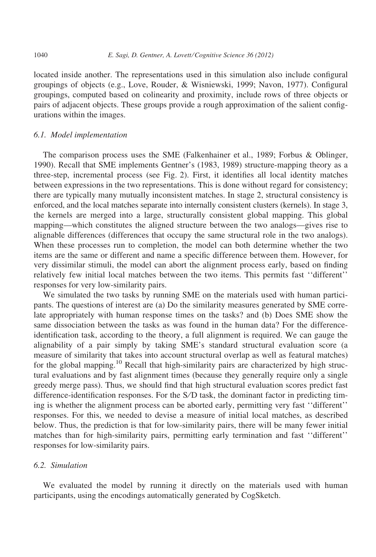located inside another. The representations used in this simulation also include configural groupings of objects (e.g., Love, Rouder, & Wisniewski, 1999; Navon, 1977). Configural groupings, computed based on colinearity and proximity, include rows of three objects or pairs of adjacent objects. These groups provide a rough approximation of the salient configurations within the images.

#### 6.1. Model implementation

The comparison process uses the SME (Falkenhainer et al., 1989; Forbus & Oblinger, 1990). Recall that SME implements Gentner's (1983, 1989) structure-mapping theory as a three-step, incremental process (see Fig. 2). First, it identifies all local identity matches between expressions in the two representations. This is done without regard for consistency; there are typically many mutually inconsistent matches. In stage 2, structural consistency is enforced, and the local matches separate into internally consistent clusters (kernels). In stage 3, the kernels are merged into a large, structurally consistent global mapping. This global mapping—which constitutes the aligned structure between the two analogs—gives rise to alignable differences (differences that occupy the same structural role in the two analogs). When these processes run to completion, the model can both determine whether the two items are the same or different and name a specific difference between them. However, for very dissimilar stimuli, the model can abort the alignment process early, based on finding relatively few initial local matches between the two items. This permits fast ''different'' responses for very low-similarity pairs.

We simulated the two tasks by running SME on the materials used with human participants. The questions of interest are (a) Do the similarity measures generated by SME correlate appropriately with human response times on the tasks? and (b) Does SME show the same dissociation between the tasks as was found in the human data? For the differenceidentification task, according to the theory, a full alignment is required. We can gauge the alignability of a pair simply by taking SME's standard structural evaluation score (a measure of similarity that takes into account structural overlap as well as featural matches) for the global mapping.<sup>10</sup> Recall that high-similarity pairs are characterized by high structural evaluations and by fast alignment times (because they generally require only a single greedy merge pass). Thus, we should find that high structural evaluation scores predict fast difference-identification responses. For the S⁄D task, the dominant factor in predicting timing is whether the alignment process can be aborted early, permitting very fast ''different'' responses. For this, we needed to devise a measure of initial local matches, as described below. Thus, the prediction is that for low-similarity pairs, there will be many fewer initial matches than for high-similarity pairs, permitting early termination and fast ''different'' responses for low-similarity pairs.

## 6.2. Simulation

We evaluated the model by running it directly on the materials used with human participants, using the encodings automatically generated by CogSketch.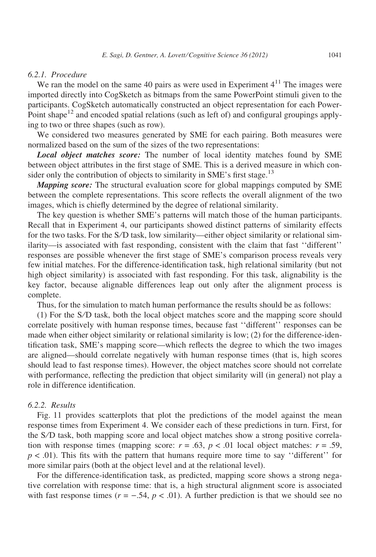#### 6.2.1. Procedure

We ran the model on the same 40 pairs as were used in Experiment  $4<sup>11</sup>$  The images were imported directly into CogSketch as bitmaps from the same PowerPoint stimuli given to the participants. CogSketch automatically constructed an object representation for each Power-Point shape<sup>12</sup> and encoded spatial relations (such as left of) and configural groupings applying to two or three shapes (such as row).

We considered two measures generated by SME for each pairing. Both measures were normalized based on the sum of the sizes of the two representations:

Local object matches score: The number of local identity matches found by SME between object attributes in the first stage of SME. This is a derived measure in which consider only the contribution of objects to similarity in SME's first stage.<sup>13</sup>

**Mapping score:** The structural evaluation score for global mappings computed by SME between the complete representations. This score reflects the overall alignment of the two images, which is chiefly determined by the degree of relational similarity.

The key question is whether SME's patterns will match those of the human participants. Recall that in Experiment 4, our participants showed distinct patterns of similarity effects for the two tasks. For the S/D task, low similarity—either object similarity or relational similarity—is associated with fast responding, consistent with the claim that fast ''different'' responses are possible whenever the first stage of SME's comparison process reveals very few initial matches. For the difference-identification task, high relational similarity (but not high object similarity) is associated with fast responding. For this task, alignability is the key factor, because alignable differences leap out only after the alignment process is complete.

Thus, for the simulation to match human performance the results should be as follows:

(1) For the S⁄D task, both the local object matches score and the mapping score should correlate positively with human response times, because fast ''different'' responses can be made when either object similarity or relational similarity is low; (2) for the difference-identification task, SME's mapping score—which reflects the degree to which the two images are aligned—should correlate negatively with human response times (that is, high scores should lead to fast response times). However, the object matches score should not correlate with performance, reflecting the prediction that object similarity will (in general) not play a role in difference identification.

#### 6.2.2. Results

Fig. 11 provides scatterplots that plot the predictions of the model against the mean response times from Experiment 4. We consider each of these predictions in turn. First, for the S⁄D task, both mapping score and local object matches show a strong positive correlation with response times (mapping score:  $r = .63$ ,  $p < .01$  local object matches:  $r = .59$ ,  $p < .01$ ). This fits with the pattern that humans require more time to say "different" for more similar pairs (both at the object level and at the relational level).

For the difference-identification task, as predicted, mapping score shows a strong negative correlation with response time: that is, a high structural alignment score is associated with fast response times  $(r = -.54, p < .01)$ . A further prediction is that we should see no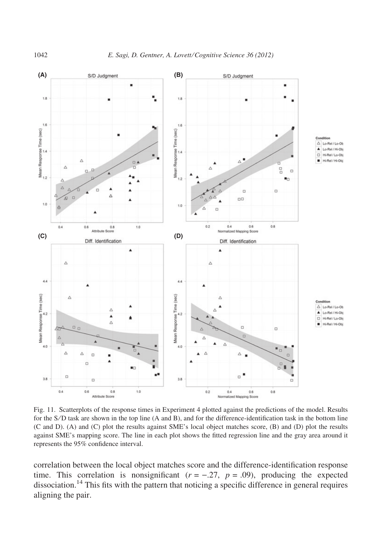

Fig. 11. Scatterplots of the response times in Experiment 4 plotted against the predictions of the model. Results for the S/D task are shown in the top line (A and B), and for the difference-identification task in the bottom line (C and D). (A) and (C) plot the results against SME's local object matches score, (B) and (D) plot the results against SME's mapping score. The line in each plot shows the fitted regression line and the gray area around it represents the 95% confidence interval.

correlation between the local object matches score and the difference-identification response time. This correlation is nonsignificant  $(r = -.27, p = .09)$ , producing the expected dissociation.<sup>14</sup> This fits with the pattern that noticing a specific difference in general requires aligning the pair.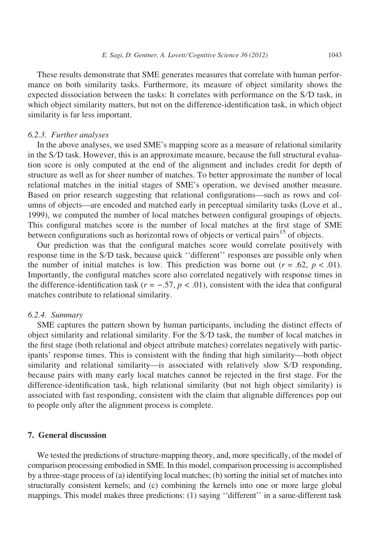These results demonstrate that SME generates measures that correlate with human performance on both similarity tasks. Furthermore, its measure of object similarity shows the expected dissociation between the tasks: It correlates with performance on the S⁄D task, in which object similarity matters, but not on the difference-identification task, in which object similarity is far less important.

#### 6.2.3. Further analyses

In the above analyses, we used SME's mapping score as a measure of relational similarity in the S⁄D task. However, this is an approximate measure, because the full structural evaluation score is only computed at the end of the alignment and includes credit for depth of structure as well as for sheer number of matches. To better approximate the number of local relational matches in the initial stages of SME's operation, we devised another measure. Based on prior research suggesting that relational configurations—such as rows and columns of objects—are encoded and matched early in perceptual similarity tasks (Love et al., 1999), we computed the number of local matches between configural groupings of objects. This configural matches score is the number of local matches at the first stage of SME between configurations such as horizontal rows of objects or vertical pairs<sup>15</sup> of objects.

Our prediction was that the configural matches score would correlate positively with response time in the S⁄D task, because quick ''different'' responses are possible only when the number of initial matches is low. This prediction was borne out  $(r = .62, p < .01)$ . Importantly, the configural matches score also correlated negatively with response times in the difference-identification task ( $r = -.57$ ,  $p < .01$ ), consistent with the idea that configural matches contribute to relational similarity.

#### 6.2.4. Summary

SME captures the pattern shown by human participants, including the distinct effects of object similarity and relational similarity. For the S⁄D task, the number of local matches in the first stage (both relational and object attribute matches) correlates negatively with participants' response times. This is consistent with the finding that high similarity—both object similarity and relational similarity—is associated with relatively slow S⁄D responding, because pairs with many early local matches cannot be rejected in the first stage. For the difference-identification task, high relational similarity (but not high object similarity) is associated with fast responding, consistent with the claim that alignable differences pop out to people only after the alignment process is complete.

### 7. General discussion

We tested the predictions of structure-mapping theory, and, more specifically, of the model of comparison processing embodied in SME. In this model, comparison processing is accomplished by a three-stage process of (a) identifying local matches; (b) sorting the initial set of matches into structurally consistent kernels; and (c) combining the kernels into one or more large global mappings. This model makes three predictions: (1) saying ''different'' in a same-different task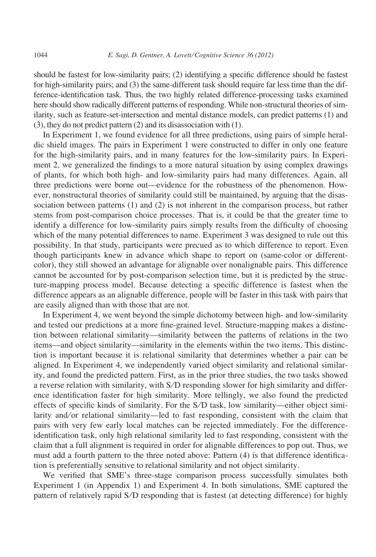should be fastest for low-similarity pairs; (2) identifying a specific difference should be fastest for high-similarity pairs; and (3) the same-different task should require far less time than the difference-identification task. Thus, the two highly related difference-processing tasks examined here should show radically different patterns of responding. While non-structural theories of similarity, such as feature-set-intersection and mental distance models, can predict patterns (1) and (3), they do not predict pattern (2) and its disassociation with (1).

In Experiment 1, we found evidence for all three predictions, using pairs of simple heraldic shield images. The pairs in Experiment 1 were constructed to differ in only one feature for the high-similarity pairs, and in many features for the low-similarity pairs. In Experiment 2, we generalized the findings to a more natural situation by using complex drawings of plants, for which both high- and low-similarity pairs had many differences. Again, all three predictions were borne out—evidence for the robustness of the phenomenon. However, nonstructural theories of similarity could still be maintained, by arguing that the disassociation between patterns (1) and (2) is not inherent in the comparison process, but rather stems from post-comparison choice processes. That is, it could be that the greater time to identify a difference for low-similarity pairs simply results from the difficulty of choosing which of the many potential differences to name. Experiment 3 was designed to rule out this possibility. In that study, participants were precued as to which difference to report. Even though participants knew in advance which shape to report on (same-color or differentcolor), they still showed an advantage for alignable over nonalignable pairs. This difference cannot be accounted for by post-comparison selection time, but it is predicted by the structure-mapping process model. Because detecting a specific difference is fastest when the difference appears as an alignable difference, people will be faster in this task with pairs that are easily aligned than with those that are not.

In Experiment 4, we went beyond the simple dichotomy between high- and low-similarity and tested our predictions at a more fine-grained level. Structure-mapping makes a distinction between relational similarity—similarity between the patterns of relations in the two items—and object similarity—similarity in the elements within the two items. This distinction is important because it is relational similarity that determines whether a pair can be aligned. In Experiment 4, we independently varied object similarity and relational similarity, and found the predicted pattern. First, as in the prior three studies, the two tasks showed a reverse relation with similarity, with S⁄D responding slower for high similarity and difference identification faster for high similarity. More tellingly, we also found the predicted effects of specific kinds of similarity. For the S⁄D task, low similarity—either object similarity and/or relational similarity—led to fast responding, consistent with the claim that pairs with very few early local matches can be rejected immediately. For the differenceidentification task, only high relational similarity led to fast responding, consistent with the claim that a full alignment is required in order for alignable differences to pop out. Thus, we must add a fourth pattern to the three noted above: Pattern (4) is that difference identification is preferentially sensitive to relational similarity and not object similarity.

We verified that SME's three-stage comparison process successfully simulates both Experiment 1 (in Appendix 1) and Experiment 4. In both simulations, SME captured the pattern of relatively rapid S⁄D responding that is fastest (at detecting difference) for highly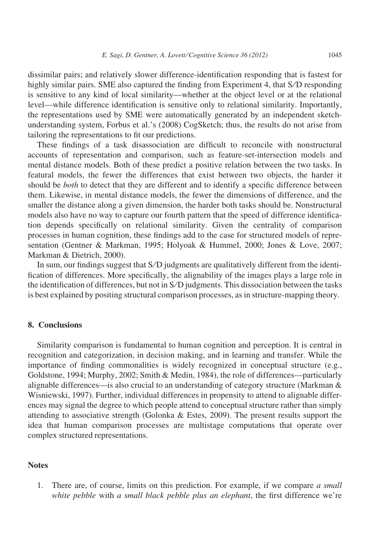dissimilar pairs; and relatively slower difference-identification responding that is fastest for highly similar pairs. SME also captured the finding from Experiment 4, that S⁄D responding is sensitive to any kind of local similarity—whether at the object level or at the relational level—while difference identification is sensitive only to relational similarity. Importantly, the representations used by SME were automatically generated by an independent sketchunderstanding system, Forbus et al.'s (2008) CogSketch; thus, the results do not arise from tailoring the representations to fit our predictions.

These findings of a task disassociation are difficult to reconcile with nonstructural accounts of representation and comparison, such as feature-set-intersection models and mental distance models. Both of these predict a positive relation between the two tasks. In featural models, the fewer the differences that exist between two objects, the harder it should be *both* to detect that they are different and to identify a specific difference between them. Likewise, in mental distance models, the fewer the dimensions of difference, and the smaller the distance along a given dimension, the harder both tasks should be. Nonstructural models also have no way to capture our fourth pattern that the speed of difference identification depends specifically on relational similarity. Given the centrality of comparison processes in human cognition, these findings add to the case for structured models of representation (Gentner & Markman, 1995; Holyoak & Hummel, 2000; Jones & Love, 2007; Markman & Dietrich, 2000).

In sum, our findings suggest that S⁄D judgments are qualitatively different from the identification of differences. More specifically, the alignability of the images plays a large role in the identification of differences, but not in S⁄D judgments. This dissociation between the tasks is best explained by positing structural comparison processes, as in structure-mapping theory.

#### 8. Conclusions

Similarity comparison is fundamental to human cognition and perception. It is central in recognition and categorization, in decision making, and in learning and transfer. While the importance of finding commonalities is widely recognized in conceptual structure (e.g., Goldstone, 1994; Murphy, 2002; Smith & Medin, 1984), the role of differences—particularly alignable differences—is also crucial to an understanding of category structure (Markman & Wisniewski, 1997). Further, individual differences in propensity to attend to alignable differences may signal the degree to which people attend to conceptual structure rather than simply attending to associative strength (Golonka & Estes, 2009). The present results support the idea that human comparison processes are multistage computations that operate over complex structured representations.

#### **Notes**

1. There are, of course, limits on this prediction. For example, if we compare a small white pebble with a small black pebble plus an elephant, the first difference we're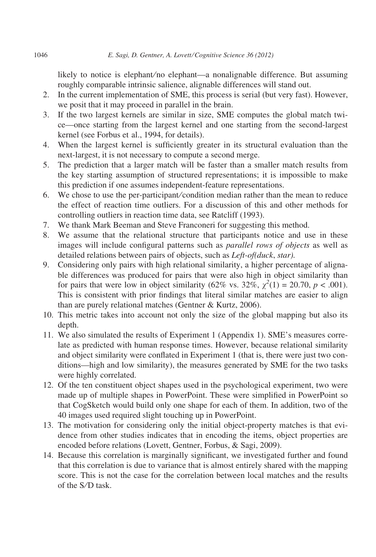likely to notice is elephant⁄ no elephant—a nonalignable difference. But assuming roughly comparable intrinsic salience, alignable differences will stand out.

- 2. In the current implementation of SME, this process is serial (but very fast). However, we posit that it may proceed in parallel in the brain.
- 3. If the two largest kernels are similar in size, SME computes the global match twice—once starting from the largest kernel and one starting from the second-largest kernel (see Forbus et al., 1994, for details).
- 4. When the largest kernel is sufficiently greater in its structural evaluation than the next-largest, it is not necessary to compute a second merge.
- 5. The prediction that a larger match will be faster than a smaller match results from the key starting assumption of structured representations; it is impossible to make this prediction if one assumes independent-feature representations.
- 6. We chose to use the per-participant⁄ condition median rather than the mean to reduce the effect of reaction time outliers. For a discussion of this and other methods for controlling outliers in reaction time data, see Ratcliff (1993).
- 7. We thank Mark Beeman and Steve Franconeri for suggesting this method.
- 8. We assume that the relational structure that participants notice and use in these images will include configural patterns such as *parallel rows of objects* as well as detailed relations between pairs of objects, such as *Left-of(duck, star)*.
- 9. Considering only pairs with high relational similarity, a higher percentage of alignable differences was produced for pairs that were also high in object similarity than for pairs that were low in object similarity (62% vs. 32%,  $\chi^2(1) = 20.70$ ,  $p < .001$ ). This is consistent with prior findings that literal similar matches are easier to align than are purely relational matches (Gentner & Kurtz, 2006).
- 10. This metric takes into account not only the size of the global mapping but also its depth.
- 11. We also simulated the results of Experiment 1 (Appendix 1). SME's measures correlate as predicted with human response times. However, because relational similarity and object similarity were conflated in Experiment 1 (that is, there were just two conditions—high and low similarity), the measures generated by SME for the two tasks were highly correlated.
- 12. Of the ten constituent object shapes used in the psychological experiment, two were made up of multiple shapes in PowerPoint. These were simplified in PowerPoint so that CogSketch would build only one shape for each of them. In addition, two of the 40 images used required slight touching up in PowerPoint.
- 13. The motivation for considering only the initial object-property matches is that evidence from other studies indicates that in encoding the items, object properties are encoded before relations (Lovett, Gentner, Forbus, & Sagi, 2009).
- 14. Because this correlation is marginally significant, we investigated further and found that this correlation is due to variance that is almost entirely shared with the mapping score. This is not the case for the correlation between local matches and the results of the S⁄D task.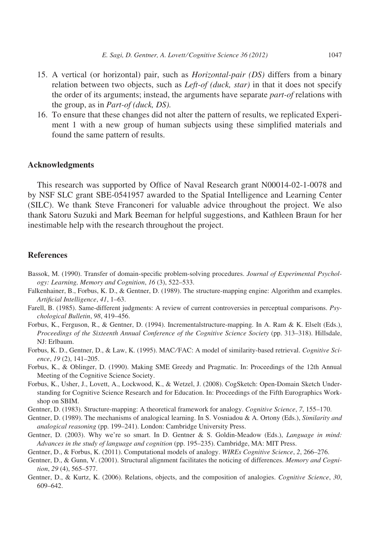- 15. A vertical (or horizontal) pair, such as *Horizontal-pair* (*DS*) differs from a binary relation between two objects, such as *Left-of (duck, star)* in that it does not specify the order of its arguments; instead, the arguments have separate *part-of* relations with the group, as in Part-of (duck, DS).
- 16. To ensure that these changes did not alter the pattern of results, we replicated Experiment 1 with a new group of human subjects using these simplified materials and found the same pattern of results.

#### Acknowledgments

This research was supported by Office of Naval Research grant N00014-02-1-0078 and by NSF SLC grant SBE-0541957 awarded to the Spatial Intelligence and Learning Center (SILC). We thank Steve Franconeri for valuable advice throughout the project. We also thank Satoru Suzuki and Mark Beeman for helpful suggestions, and Kathleen Braun for her inestimable help with the research throughout the project.

#### References

- Bassok, M. (1990). Transfer of domain-specific problem-solving procedures. Journal of Experimental Psychology: Learning, Memory and Cognition, 16 (3), 522–533.
- Falkenhainer, B., Forbus, K. D., & Gentner, D. (1989). The structure-mapping engine: Algorithm and examples. Artificial Intelligence, 41, 1–63.
- Farell, B. (1985). Same-different judgments: A review of current controversies in perceptual comparisons. Psychological Bulletin, 98, 419–456.
- Forbus, K., Ferguson, R., & Gentner, D. (1994). Incrementalstructure-mapping. In A. Ram & K. Elselt (Eds.), Proceedings of the Sixteenth Annual Conference of the Cognitive Science Society (pp. 313–318). Hillsdale, NJ: Erlbaum.
- Forbus, K. D., Gentner, D., & Law, K. (1995). MAC/FAC: A model of similarity-based retrieval. Cognitive Science, 19 (2), 141–205.
- Forbus, K., & Oblinger, D. (1990). Making SME Greedy and Pragmatic. In: Proceedings of the 12th Annual Meeting of the Cognitive Science Society.
- Forbus, K., Usher, J., Lovett, A., Lockwood, K., & Wetzel, J. (2008). CogSketch: Open-Domain Sketch Understanding for Cognitive Science Research and for Education. In: Proceedings of the Fifth Eurographics Workshop on SBIM.
- Gentner, D. (1983). Structure-mapping: A theoretical framework for analogy. Cognitive Science, 7, 155–170.
- Gentner, D. (1989). The mechanisms of analogical learning. In S. Vosniadou & A. Ortony (Eds.), Similarity and analogical reasoning (pp. 199–241). London: Cambridge University Press.
- Gentner, D. (2003). Why we're so smart. In D. Gentner & S. Goldin-Meadow (Eds.), Language in mind: Advances in the study of language and cognition (pp. 195–235). Cambridge, MA: MIT Press.
- Gentner, D., & Forbus, K. (2011). Computational models of analogy. WIREs Cognitive Science, 2, 266–276.
- Gentner, D., & Gunn, V. (2001). Structural alignment facilitates the noticing of differences. Memory and Cognition, 29 (4), 565–577.
- Gentner, D., & Kurtz, K. (2006). Relations, objects, and the composition of analogies. Cognitive Science, 30, 609–642.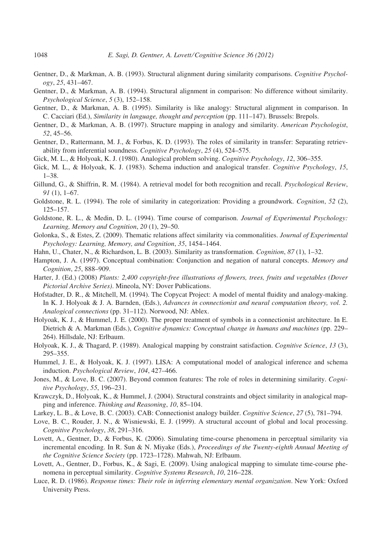- Gentner, D., & Markman, A. B. (1993). Structural alignment during similarity comparisons. Cognitive Psychology, 25, 431–467.
- Gentner, D., & Markman, A. B. (1994). Structural alignment in comparison: No difference without similarity. Psychological Science, 5 (3), 152–158.
- Gentner, D., & Markman, A. B. (1995). Similarity is like analogy: Structural alignment in comparison. In C. Cacciari (Ed.), Similarity in language, thought and perception (pp. 111–147). Brussels: Brepols.
- Gentner, D., & Markman, A. B. (1997). Structure mapping in analogy and similarity. American Psychologist, 52, 45–56.
- Gentner, D., Rattermann, M. J., & Forbus, K. D. (1993). The roles of similarity in transfer: Separating retrievability from inferential soundness. Cognitive Psychology, 25 (4), 524–575.
- Gick, M. L., & Holyoak, K. J. (1980). Analogical problem solving. Cognitive Psychology, 12, 306-355.
- Gick, M. L., & Holyoak, K. J. (1983). Schema induction and analogical transfer. Cognitive Psychology, 15, 1–38.
- Gillund, G., & Shiffrin, R. M. (1984). A retrieval model for both recognition and recall. Psychological Review, 91 (1), 1–67.
- Goldstone, R. L. (1994). The role of similarity in categorization: Providing a groundwork. *Cognition*, 52 (2), 125–157.
- Goldstone, R. L., & Medin, D. L. (1994). Time course of comparison. Journal of Experimental Psychology: Learning, Memory and Cognition, 20 (1), 29–50.
- Golonka, S., & Estes, Z. (2009). Thematic relations affect similarity via commonalities. Journal of Experimental Psychology: Learning, Memory, and Cognition, 35, 1454–1464.
- Hahn, U., Chater, N., & Richardson, L. B. (2003). Similarity as transformation. *Cognition*, 87(1), 1–32.
- Hampton, J. A. (1997). Conceptual combination: Conjunction and negation of natural concepts. Memory and Cognition, 25, 888–909.
- Harter, J. (Ed.) (2008) Plants: 2,400 copyright-free illustrations of flowers, trees, fruits and vegetables (Dover Pictorial Archive Series). Mineola, NY: Dover Publications.
- Hofstadter, D. R., & Mitchell, M. (1994). The Copycat Project: A model of mental fluidity and analogy-making. In K. J. Holyoak & J. A. Barnden, (Eds.), Advances in connectionist and neural computation theory, vol. 2. Analogical connections (pp. 31–112). Norwood, NJ: Ablex.
- Holyoak, K. J., & Hummel, J. E. (2000). The proper treatment of symbols in a connectionist architecture. In E. Dietrich & A. Markman (Eds.), Cognitive dynamics: Conceptual change in humans and machines (pp. 229– 264). Hillsdale, NJ: Erlbaum.
- Holyoak, K. J., & Thagard, P. (1989). Analogical mapping by constraint satisfaction. Cognitive Science, 13 (3), 295–355.
- Hummel, J. E., & Holyoak, K. J. (1997). LISA: A computational model of analogical inference and schema induction. Psychological Review, 104, 427–466.
- Jones, M., & Love, B. C. (2007). Beyond common features: The role of roles in determining similarity. Cognitive Psychology, 55, 196–231.
- Krawczyk, D., Holyoak, K., & Hummel, J. (2004). Structural constraints and object similarity in analogical mapping and inference. Thinking and Reasoning, 10, 85–104.
- Larkey, L. B., & Love, B. C. (2003). CAB: Connectionist analogy builder. Cognitive Science, 27 (5), 781–794.
- Love, B. C., Rouder, J. N., & Wisniewski, E. J. (1999). A structural account of global and local processing. Cognitive Psychology, 38, 291–316.
- Lovett, A., Gentner, D., & Forbus, K. (2006). Simulating time-course phenomena in perceptual similarity via incremental encoding. In R. Sun & N. Miyake (Eds.), Proceedings of the Twenty-eighth Annual Meeting of the Cognitive Science Society (pp. 1723–1728). Mahwah, NJ: Erlbaum.
- Lovett, A., Gentner, D., Forbus, K., & Sagi, E. (2009). Using analogical mapping to simulate time-course phenomena in perceptual similarity. Cognitive Systems Research, 10, 216–228.
- Luce, R. D. (1986). Response times: Their role in inferring elementary mental organization. New York: Oxford University Press.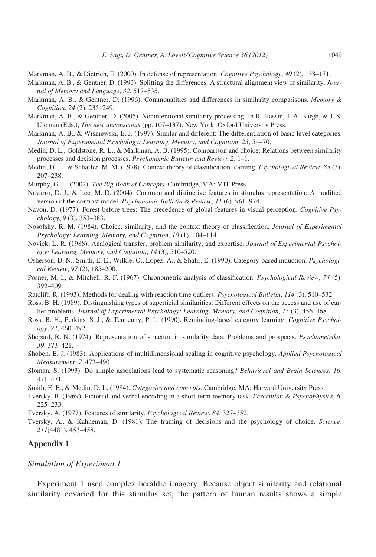- Markman, A. B., & Dietrich, E. (2000). In defense of representation. Cognitive Psychology, 40 (2), 138–171.
- Markman, A. B., & Gentner, D. (1993). Splitting the differences: A structural alignment view of similarity. Journal of Memory and Language, 32, 517–535.
- Markman, A. B., & Gentner, D. (1996). Commonalities and differences in similarity comparisons. Memory & Cognition, 24 (2), 235–249.
- Markman, A. B., & Gentner, D. (2005). Nonintentional similarity processing. In R. Hassin, J. A. Bargh, & J. S. Uleman (Eds.), The new unconscious (pp. 107–137). New York: Oxford University Press.
- Markman, A. B., & Wisniewski, E. J. (1997). Similar and different: The differentiation of basic level categories. Journal of Experimental Psychology: Learning, Memory, and Cognition, 23, 54–70.
- Medin, D. L., Goldstone, R. L., & Markman, A. B. (1995). Comparison and choice: Relations between similarity processes and decision processes. Psychonomic Bulletin and Review, 2, 1–1.
- Medin, D. L., & Schaffer, M. M. (1978). Context theory of classification learning. Psychological Review, 85 (3), 207–238.
- Murphy, G. L. (2002). The Big Book of Concepts. Cambridge, MA: MIT Press.
- Navarro, D. J., & Lee, M. D. (2004). Common and distinctive features in stimulus representation: A modified version of the contrast model. Psychonomic Bulletin & Review, 11 (6), 961–974.
- Navon, D. (1977). Forest before trees: The precedence of global features in visual perception. Cognitive Psychology, 9 (3), 353–383.
- Nosofsky, R. M. (1984). Choice, similarity, and the context theory of classification. Journal of Experimental Psychology: Learning, Memory, and Cognition, 10 (1), 104–114.
- Novick, L. R. (1988). Analogical transfer, problem similarity, and expertise. Journal of Experimental Psychology: Learning, Memory, and Cognition, 14 (3), 510–520.
- Osherson, D. N., Smith, E. E., Wilkie, O., Lopez, A., & Shafir, E. (1990). Category-based induction. Psychological Review, 97 (2), 185–200.
- Posner, M. I., & Mitchell, R. F. (1967). Chronometric analysis of classification. Psychological Review, 74 (5), 392–409.
- Ratcliff, R. (1993). Methods for dealing with reaction time outliers. Psychological Bulletin, 114 (3), 510–532.
- Ross, B. H. (1989). Distinguishing types of superficial similarities: Different effects on the access and use of earlier problems. Journal of Experimental Psychology: Learning, Memory, and Cognition, 15 (3), 456–468.
- Ross, B. H., Perkins, S. J., & Tenpenny, P. L. (1990). Reminding-based category learning. Cognitive Psychology, 22, 460–492.
- Shepard, R. N. (1974). Representation of structure in similarity data: Problems and prospects. Psychometrika, 39, 373–421.
- Shoben, E. J. (1983). Applications of multidimensional scaling in cognitive psychology. Applied Psychological Measurement, 7, 473–490.
- Sloman, S. (1993). Do simple associations lead to systematic reasoning? Behavioral and Brain Sciences, 16, 471–471.
- Smith, E. E., & Medin, D. L. (1984). Categories and concepts. Cambridge, MA: Harvard University Press.
- Tversky, B. (1969). Pictorial and verbal encoding in a short-term memory task. Perception & Psychophysics, 6, 225–233.
- Tversky, A. (1977). Features of similarity. Psychological Review, 84, 327–352.
- Tversky, A., & Kahneman, D. (1981). The framing of decisions and the psychology of choice. Science, 211(4481), 453–458.

#### Appendix 1

#### Simulation of Experiment 1

Experiment 1 used complex heraldic imagery. Because object similarity and relational similarity covaried for this stimulus set, the pattern of human results shows a simple